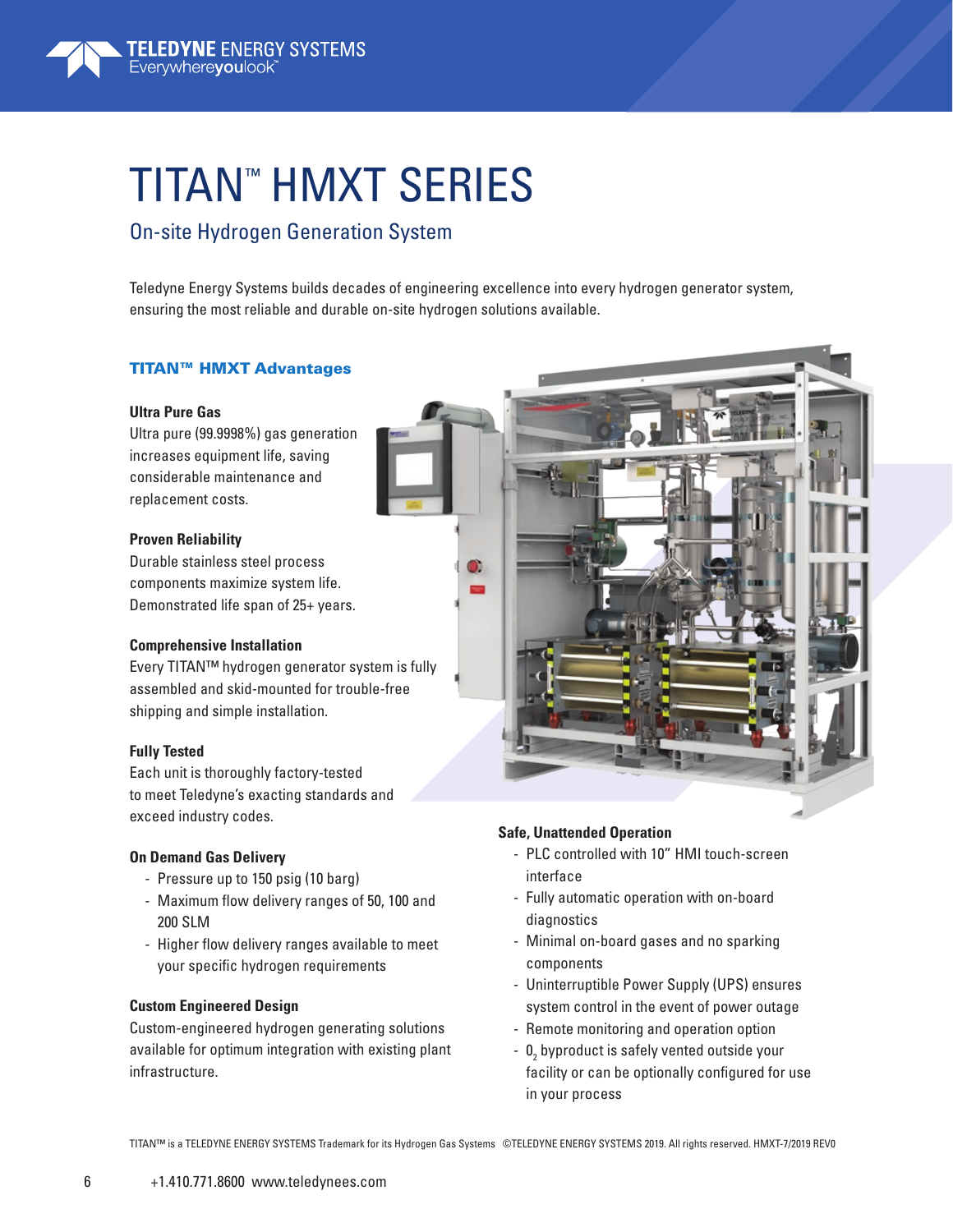# TITAN™ HMXT SERIES

### On-site Hydrogen Generation System

Teledyne Energy Systems builds decades of engineering excellence into every hydrogen generator system, ensuring the most reliable and durable on-site hydrogen solutions available.

D.

#### TITAN™ HMXT Advantages

#### **Ultra Pure Gas**

Ultra pure (99.9998%) gas generation increases equipment life, saving considerable maintenance and replacement costs.

#### **Proven Reliability**

Durable stainless steel process components maximize system life. Demonstrated life span of 25+ years.

#### **Comprehensive Installation**

Every TITAN™ hydrogen generator system is fully assembled and skid-mounted for trouble-free shipping and simple installation.

#### **Fully Tested**

Each unit is thoroughly factory-tested to meet Teledyne's exacting standards and exceed industry codes.

#### **On Demand Gas Delivery**

- Pressure up to 150 psig (10 barg)
- Maximum flow delivery ranges of 50, 100 and 200 SLM
- Higher flow delivery ranges available to meet your specific hydrogen requirements

#### **Custom Engineered Design**

Custom-engineered hydrogen generating solutions available for optimum integration with existing plant infrastructure.

#### **Safe, Unattended Operation**

- PLC controlled with 10" HMI touch-screen interface
- Fully automatic operation with on-board diagnostics
- Minimal on-board gases and no sparking components
- Uninterruptible Power Supply (UPS) ensures system control in the event of power outage
- Remote monitoring and operation option
- $\, {\bf 0}^{}_{\! 2}$  byproduct is safely vented outside your facility or can be optionally configured for use in your process

TITAN™ is a TELEDYNE ENERGY SYSTEMS Trademark for its Hydrogen Gas Systems ©TELEDYNE ENERGY SYSTEMS 2019. All rights reserved. HMXT-7/2019 REV0